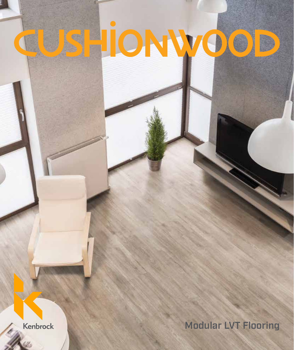## HIONWO  $\bigcirc$

Kenbrock

Modular LVT Flooring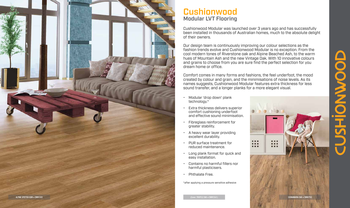

## **Cushionwood** Modular LVT Flooring

Cushionwood Modular was launched over 3 years ago and has successfully been installed in thousands of Australian homes, much to the absolute delight of their owners.

Our design team is continuously improving our colour selections as the fashion trends evolve and Cushionwood Modular is no exception. From the cool modern tones of Riverstone oak and Alpine Beached Ash, to the warm hues of Mountain Ash and the new Vintage Oak. With 10 innovative colours and grains to choose from you are sure find the perfect selection for you dream home or office.



Comfort comes in many forms and fashions, the feel underfoot, the mood created by colour and grain, and the minimisations of noise levels. As its names suggests, Cushionwood Modular features extra thickness for less sound transfer, and a longer planks for a more elegant visual.

- Modular 'drop down' plank technology.\*
- Extra thickness delivers superior comfort cushioning underfoot and effective sound minimisation.
- Fibreglass reinforcement for greater stability.
- A heavy wear layer providing excellent durability.
- PUR surface treatment for reduced maintenance.
- Long plank format for quick and easy installation.
- Contains no harmful fillers nor harmful plasticisers.
- Phthalate Free.

\*after applying a pressure sensitive adhesive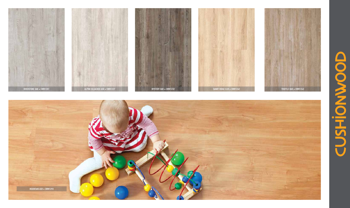













 $\Box$  $\bigcirc$ **DONAID THS**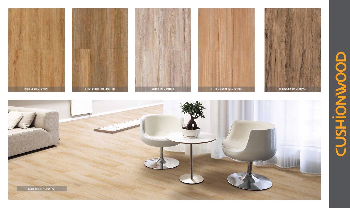











 $\Box$  $\bullet$  $\bigcirc$ **NAND** ᄑ LA